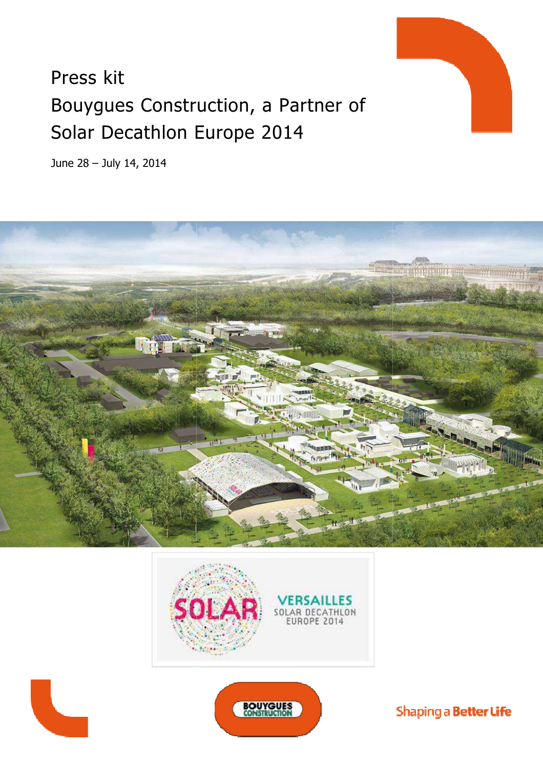# Press kit Bouygues Construction, a Partner of Solar Decathlon Europe 2014

June 28 – July 14, 2014











Shaping a Better Life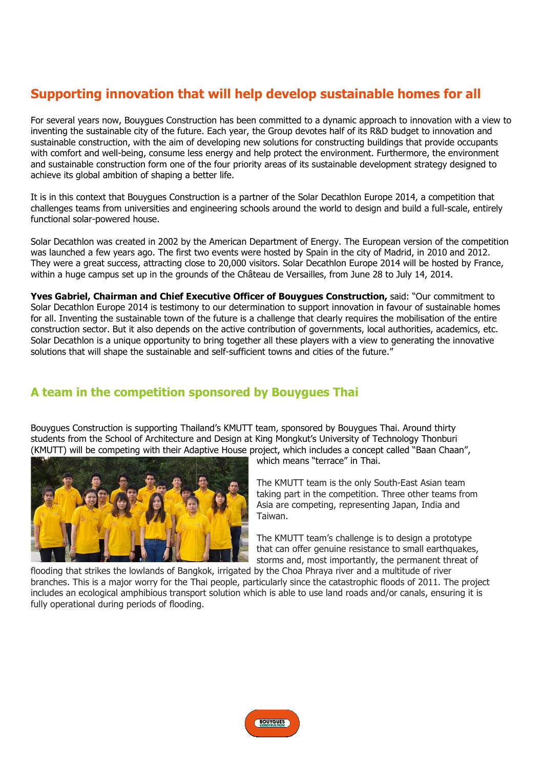## **Supporting innovation that will help develop sustainable homes for all**

For several years now, Bouygues Construction has been committed to a dynamic approach to innovation with a view to inventing the sustainable city of the future. Each year, the Group devotes half of its R&D budget to innovation and sustainable construction, with the aim of developing new solutions for constructing buildings that provide occupants with comfort and well-being, consume less energy and help protect the environment. Furthermore, the environment with comfort and well-being, consume less energy and help protect the environment. Furthermore, the environment<br>and sustainable construction form one of the four priority areas of its sustainable development strategy desig achieve its global ambition of shaping a better life. and sustainable construction form one of the four priority areas of its sustainable development strategy designed to<br>achieve its global ambition of shaping a better life.<br>It is in this context that Bouygues Construction is

challenges teams from universities and engineering schools around the world to design and build a full-scale, entirely functional solar-powered house.

Solar Decathlon was created in 2002 by the American Department of Energy. The European version of the competition was launched a few years ago. The first two events were hosted by Spain in the city of Madrid, in 2010 and 2012. They were a great success, attracting close to 20,000 visitors. Solar Decathlon Europe 2014 will be hosted by France, within a huge campus set up in the grounds of the Château de Versailles, from June 28 to July 14, 2014. 2014.

**Yves Gabriel, Chairman and Chief Executive Officer of Bouygues Construction, said: "Our commitment to** Solar Decathlon Europe 2014 is testimony to our determination to support innovation in favour of sustainable homes Solar Decathlon Europe 2014 is testimony to our determination to support innovation in favour of sustainable homes<br>for all. Inventing the sustainable town of the future is a challenge that clearly requires the mobilisation construction sector. But it also depends on the active contribution of governments, local authorities, academics, etc. Solar Decathlon is a unique opportunity to bring together all these players with a view to generating the innovative solutions that will shape the sustainable and self-sufficient towns and cities of the future." nments, local authorities, acade<br>with a view to generating the ir<br>i of the future."<br>**Thai**<br>y Bouygues Thai. Around thirty

## **A team in the competition sponsor tition sponsored by Bouygues Thai**

Bouygues Construction is supporting Thailand's KMUTT team, sponsored by Bouygues Tha students from the School of Architecture and Design at King Mongkut's University of Technology Thonburi students from the School of Architecture and Design at King Mongkut's University of Technology Thonburi<br>(KMUTT) will be competing with their Adaptive House project, which includes a concept called "Baan Chaan",



which means "terrace" in Thai.

The KMUTT team is the only South South-East Asian team taking part in the competition. Three other teams from Asia are competing, representing Japan, India and Taiwan. taking part in the competition. Three other teams fron<br>Asia are competing, representing Japan, India and<br>Taiwan.<br>The KMUTT team's challenge is to design a prototype

that can offer genuine resistance to small earthquakes, storms and, most importantly, the permanent threat of

flooding that strikes the lowlands of Bangkok, irrigated by the Choa Phraya river and a multitude of river branches. This is a major worry for the Thai people, particularly since the catastrophic floods of 2011. The project includes an ecological amphibious transport solution which is able to use land roads and/or canals, ensuring it is fully operational during periods of flooding.

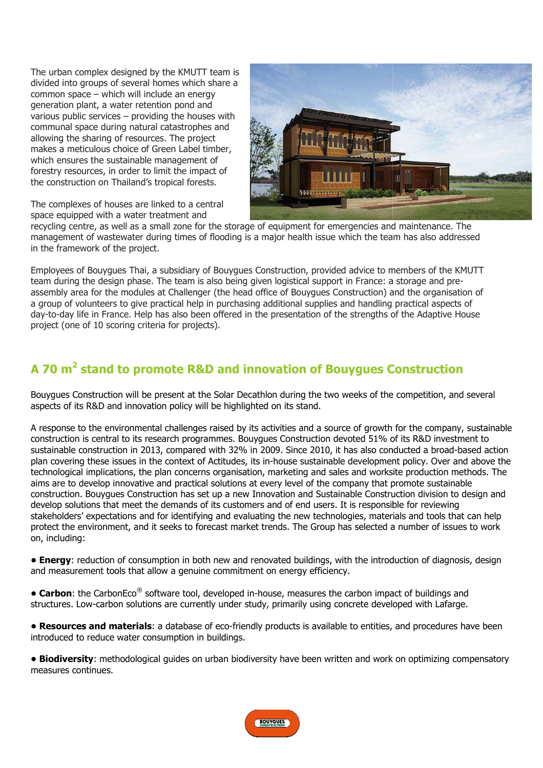The urban complex designed by the KMUTT team is divided into groups of several homes which share a common space – which will include an energy generation plant, a water retention pond and various public services – providing the houses with various public services – providing the houses with<br>communal space during natural catastrophes and allowing the sharing of resources. The project makes a meticulous choice of Green Label Label timber, which ensures the sustainable management of forestry resources, in order to limit the impact of the construction on Thailand's tropical forest forests.





recycling centre, as well as a small zone for the storage of equipment for emergencies and maintenance maintenance. The management of wastewater during times of flooding is a major health issue which the team has also addressed in the framework of the project.

Employees of Bouygues Thai, a subsidiary of Bouygues Construction, provided advice to members of the KMUTT team during the design phase. The team is also being given logistical support in France: a storage and preassembly area for the modules at Challenger (the head office of Bouygues Construction) and the organisation of a group of volunteers to give practical help in purchasing additional supplies and handling practical aspects of day-to-day life in France. Help has also been offered in the presentation of the strengths of the Adaptive House project (one of 10 scoring criteria for projects).

## A 70 m<sup>2</sup> stand to promote R&D and innovation of Bouygues Construction

Bouygues Construction will be present at the Solar Decathlon during the two weeks of the competition, and several aspects of its R&D and innovation policy will be highlighted on its stand.

A response to the environmental challenges raised by its activities and a source of growth for the company, sustainable construction is central to its research programmes. Bouygues Bouygues Construction devoted 51% of its R&D investment to A response to the environmental challenges raised by its activities and a source of growth for the company, sustainable<br>construction is central to its research programmes. Bouygues Construction devoted 51% of its R&D inves plan covering these issues in the context of Actitudes, its in-house sustainable development policy. Over and above the plan covering these issues in the context of Actitudes, its in-house sustainable development policy. Over and above the<br>technological implications, the plan concerns organisation, marketing and sales and worksite productio aims are to develop innovative and practical solutions at every level of the company that promote sustainable construction. Bouygues Construction has set up a new Innovation and Sustainable Construction division to design and develop solutions that meet the demands of its customers and of end users. It is responsible for reviewing stakeholders' expectations and for identifying and evaluating the new technologies, materials and tools that can help protect the environment, and it seeks to forecast market trends. The Group has selected a number of issues to work on, including:

**• Energy**: reduction of consumption in both new and renovated buildings, with the introduction of diagnosis, design and measurement tools that allow a genuine commitment on energy efficiency. market trends<br>and renovate<br>mitment on er<br>ped in-house,<br>ler study, prin<br>friendly produ

**• Carbon**: the CarbonEco® software tool, developed in-house, measures the carbon impact of buildings and structures. Low-carbon solutions are currently under study, primarily using concrete developed with Lafarge.

structures. Low-carbon solutions are currently under study, primarily using concrete developed with Lafarge.<br>• **Resources and materials**: a database of eco-friendly products is available to entities, and procedures have be introduced to reduce water consumption in buildings.

**• Biodiversity**: methodological guides on urban biodiversity have been written and work on optimizing compensatory measures continues.

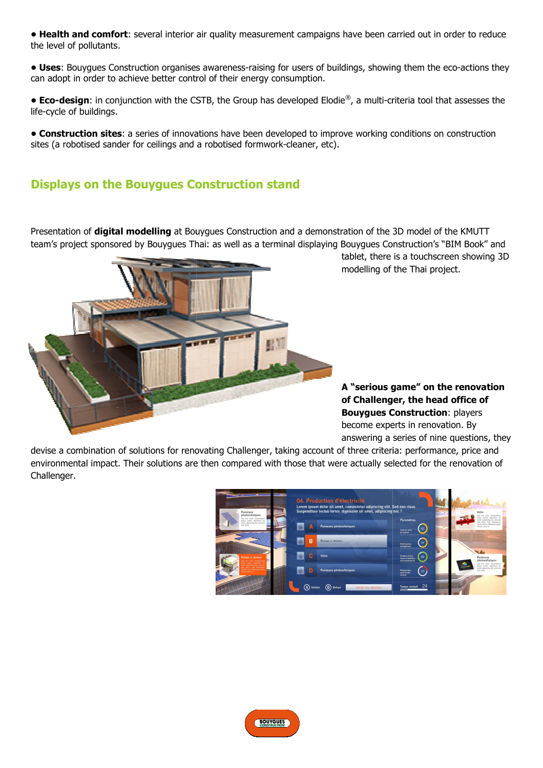**• Health and comfort**: several interior air quality measurement campaigns have been carried out in order to reduce the level of pollutants.

• Uses: Bouygues Construction organises awareness-raising for users of buildings, showing them the eco-actions they can adopt in order to achieve better control of their energy consumption.

**• Eco-design**: in conjunction with the CSTB, the Group has developed Elodie®, a multi-criteria tool that assesses the life-cycle of buildings.

**• Construction sites**: a series of innovations have been developed to improve working conditions on construction sites (a robotised sander for ceilings and a robotised formwork formwork-cleaner, etc).

## **Displays on the Bouygues Construction stand**

Presentation of **digital modelling** at Bouygues Construction and a demonstration of the 3D model of the KMUTT team's project sponsored by Bouygues Thai: as well as a terminal displaying Bouygues Construction's "BIM Book" and



tablet, there is a touchscreen showing 3D modelling of the Thai project. ulti-criteria tool that as<br>king conditions on cons<br>fing conditions on cons<br>es Construction's "BIM<br>there is a touchscreen :<br>ng of the Thai project.

**A "serious g game" on the renovation of Challenger, the head office of Bouygues Construction** : players become expert experts in renovation. By answering a series of nine questions, they

devise a combination of solutions for renovating Challenger, taking account of three criteria: performance, price and environmental impact. Their solutions are then compared with those that were actually selected for the renovation of Challenger.